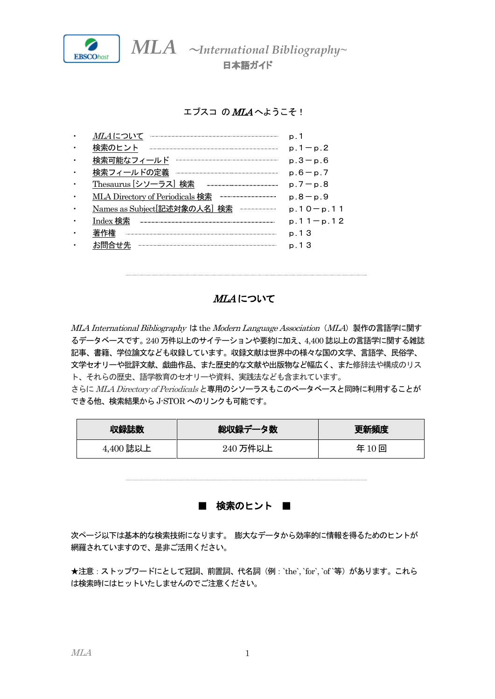

日本語ガイド

## エブスコ の MLA へようこそ!

| <i>MLA</i> について                 |               |
|---------------------------------|---------------|
| 譲のヒント                           | $p.1 - p.2$   |
| 検索可能なフィールド                      | $p.3 - p.6$   |
| 検索フィールドの定義                      | $p.6-p.7$     |
| Thesaurus [シソーラス] 検索            | $p.7 - p.8$   |
| MLA Directory of Periodicals 検索 | $p.8 - p.9$   |
| Names as Subject 記述対象の人名 検索<br> | $p.10 - p.11$ |
| Index 検索                        | $p.11-p.12$   |
| 著作権                             | p. 13         |
|                                 | p. 1.3        |
|                                 |               |

## MLA について

MLA International Bibliography は the Modern Language Association (MLA) 製作の言語学に関す るデータベースです。240 万件以上のサイテーションや要約に加え、4,400 誌以上の言語学に関する雑誌 記事、書籍、学位論文なども収録しています。収録文献は世界中の様々な国の文学、言語学、民俗学、 文学セオリーや批評文献、戯曲作品、また歴史的な文献や出版物など幅広く、また修辞法や構成のリス ト、それらの歴史、語学教育のセオリーや資料、実践法なども含まれています。

さらに MLA Directory of Periodicals と専用のシソーラスもこのベータベースと同時に利用することが できる他、検索結果からJ-STOR へのリンクも可能です。

| 収録誌数      | 総収録データ数  | 更新頻度 |
|-----------|----------|------|
| 4,400 誌以上 | 240 万件以上 | 年10回 |

■ 検索のヒント ■

次ページ以下は基本的な検索技術になります。 膨大なデータから効率的に情報を得るためのヒントが 網羅されていますので、是非ご活用ください。

★注意: ストップワードにとして冠詞、前置詞、代名詞 (例: `the`, `for`, `of `等) があります。これら は検索時にはヒットいたしませんのでご注意ください。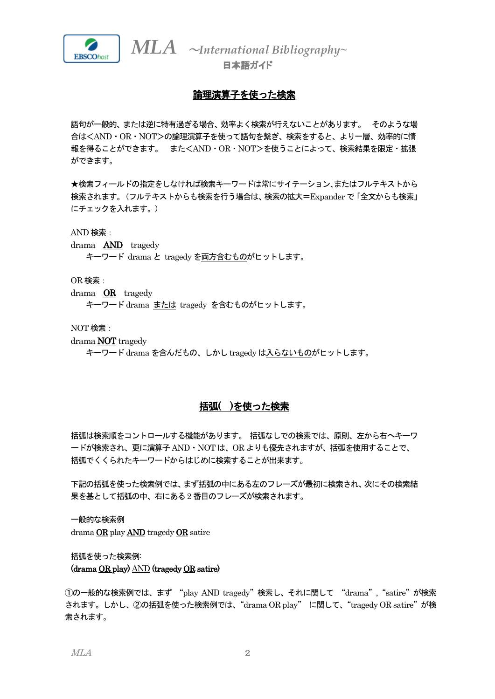

日本語ガイド

## 論理演算子を使った検索

語句が一般的、または逆に特有過ぎる場合、効率よく検索が行えないことがあります。 そのような場 合は<AND・OR・NOT>の論理演算子を使って語句を繋ぎ、検索をすると、より一層、効率的に情 報を得ることができます。 また<AND・OR・NOT>を使うことによって、検索結果を限定・拡張 ができます。

★検索フィールドの指定をしなければ検索キーワードは常にサイテーション、またはフルテキストから 検索されます。(フルテキストからも検索を行う場合は、検索の拡大=Expander で「全文からも検索」 にチェックを入れます。)

AND 検索:

- drama AND tragedy
	- キーワード drama と tragedy を両方含むものがヒットします。

OR 検索:

drama OR tragedy

キーワード drama または tragedy を含むものがヒットします。

NOT 検索:

- drama NOT tragedy
	- キーワード drama を含んだもの、しかし tragedy は入らないものがヒットします。

## 括弧( )を使った検索

括弧は検索順をコントロールする機能があります。 括弧なしでの検索では、原則、左から右へキーワ ードが検索され、更に演算子AND・NOT は、OR よりも優先されますが、括弧を使用することで、 括弧でくくられたキーワードからはじめに検索することが出来ます。

下記の括弧を使った検索例では、まず括弧の中にある左のフレーズが最初に検索され、次にその検索結 果を基として括弧の中、右にある2 番目のフレーズが検索されます。

一般的な検索例 drama OR play AND tragedy OR satire

括弧を使った検索例: (drama OR play) AND (tragedy OR satire)

①の一般的な検索例では、まず "play AND tragedy"検索し、それに関して "drama","satire"が検索 されます。しかし、②の括弧を使った検索例では、"drama OR play" に関して、"tragedy OR satire"が検 索されます。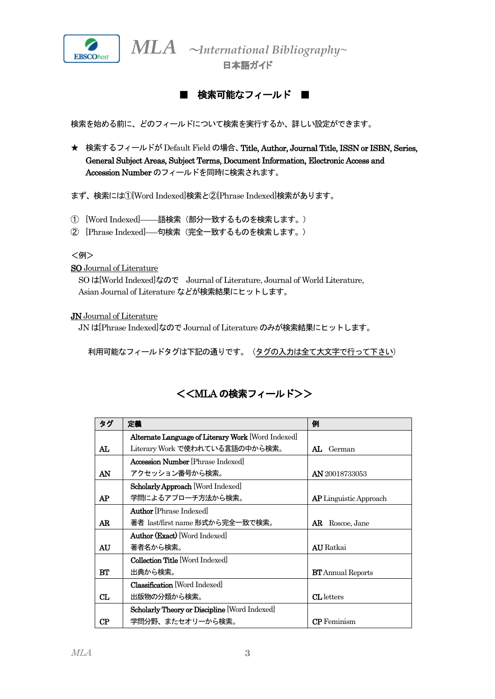

日本語ガイド



検索を始める前に、どのフィールドについて検索を実行するか、詳しい設定ができます。

**★ 検索するフィールドが Default Field の場合、Title, Author, Journal Title, ISSN or ISBN, Series,** General Subject Areas, Subject Terms, Document Information, Electronic Access and Accession Number のフィールドを同時に検索されます。

まず、検索には①[Word Indexed]検索と②[Phrase Indexed]検索があります。

- ① [Word Indexed]―――語検索(部分一致するものを検索します。)
- ② [Phrase Indexed]――句検索(完全一致するものを検索します。)

<例>

SO Journal of Literature

SO は[World Indexed]なので Journal of Literature, Journal of World Literature, Asian Journal of Literature などが検索結果にヒットします。

JN Journal of Literature

JN は[Phrase Indexed]なのでJournal of Literature のみが検索結果にヒットします。

利用可能なフィールドタグは下記の通りです。(タグの入力は全て大文字で行って下さい)

## <<MLA の検索フィールド>>

| タグ | 定義                                                   | 例                             |
|----|------------------------------------------------------|-------------------------------|
|    | Alternate Language of Literary Work [Word Indexed]   |                               |
| AL | Literary Work で使われている言語の中から検索。                       | AL.<br>German                 |
|    | <b>Accession Number</b> [Phrase Indexed]             |                               |
| AN | アクセッション <del>番号</del> から検索。                          | <b>AN</b> 20018733053         |
|    | <b>Scholarly Approach [Word Indexed]</b>             |                               |
| AP | 学問によるアプローチ方法から検索。                                    | <b>AP</b> Linguistic Approach |
|    | <b>Author</b> [Phrase Indexed]                       |                               |
| AR | 著者 last/first name 形式から完全一致で検索。                      | AR.<br>Roscoe, Jane           |
|    | Author (Exact) [Word Indexed]                        |                               |
| AU | 著者名から検索。                                             | <b>AU</b> Ratkai              |
|    | <b>Collection Title Word Indexedl</b>                |                               |
| RТ | 出典から検索。                                              | <b>BT</b> Annual Reports      |
|    | <b>Classification</b> Word Indexed                   |                               |
| CL | 出版物の分類から検索。                                          | <b>CL</b> letters             |
|    | <b>Scholarly Theory or Discipline</b> [Word Indexed] |                               |
| CP | 学問分野、またセオリーから検索。                                     | <b>CP</b> Feminism            |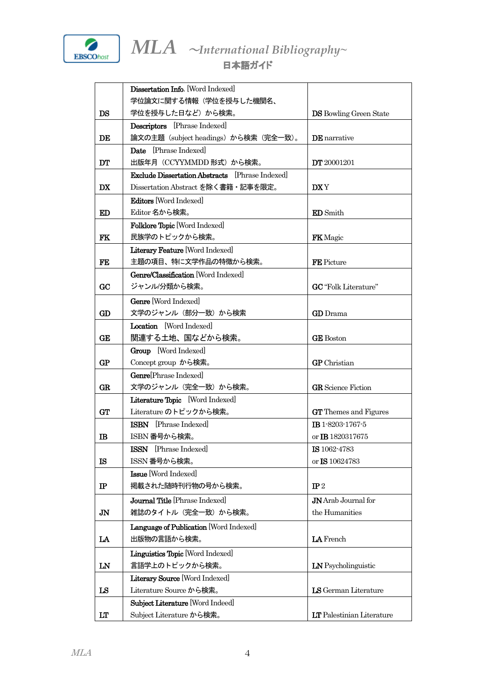

|                | Dissertation Info. [Word Indexed]                      |                                  |
|----------------|--------------------------------------------------------|----------------------------------|
|                | 学位論文に関する情報(学位を授与した機関名、                                 |                                  |
| DS             | 学位を授与した日など)から検索。                                       | <b>DS</b> Bowling Green State    |
|                | <b>Descriptors</b> [Phrase Indexed]                    |                                  |
| DE             | 論文の主題 (subject headings) から検索 (完全一致)。                  | <b>DE</b> narrative              |
|                | Date [Phrase Indexed]                                  |                                  |
| DT             | 出版年月 (CCYYMMDD 形式) から検索。                               | <b>DT</b> 20001201               |
|                | <b>Exclude Dissertation Abstracts</b> [Phrase Indexed] |                                  |
| DX             | Dissertation Abstract を除く書籍・記事を限定。                     | DX Y                             |
|                | Editors Word Indexed                                   |                                  |
| <b>ED</b>      | Editor 名から検索。                                          | <b>ED</b> Smith                  |
|                | Folklore Topic [Word Indexed]                          |                                  |
| <b>FK</b>      | 民族学のトピックから検索。                                          | <b>FK</b> Magic                  |
|                | Literary Feature [Word Indexed]                        |                                  |
| FE             | 主題の項目、特に文学作品の特徴から検索。                                   | FE Picture                       |
|                | Genre/Classification [Word Indexed]                    |                                  |
| GC             | ジャンル/分類から検索。                                           | <b>GC</b> "Folk Literature"      |
|                | Genre [Word Indexed]                                   |                                  |
| GD             | 文学のジャンル (部分一致) から検索                                    | <b>GD</b> Drama                  |
|                | Location [Word Indexed]                                |                                  |
| <b>GE</b>      | 関連する土地、国などから検索。                                        | <b>GE</b> Boston                 |
|                | Group [Word Indexed]                                   |                                  |
| GP             | Concept group から検索。                                    | <b>GP</b> Christian              |
|                | <b>Genre</b> Phrase Indexed                            |                                  |
| GR             | 文学のジャンル (完全一致) から検索。                                   | <b>GR</b> Science Fiction        |
|                | Literature Topic [Word Indexed]                        |                                  |
| <b>GT</b>      | Literature のトピックから検索。                                  | <b>GT</b> Themes and Figures     |
|                | <b>ISBN</b> Phrase Indexed                             | IB 1-8203-1767-5                 |
| в              | ISBN 番号から検索。                                           | or <b>IB</b> 1820317675          |
|                | <b>ISSN</b> [Phrase Indexed]                           | <b>IS</b> 1062 4783              |
| <b>IS</b>      | ISSN 番号から検索。                                           | or IS 10624783                   |
|                | Issue Word Indexed                                     |                                  |
| $\mathbf{I}$   | 掲載された随時刊行物の号から検索。                                      | $\mathbb{P}2$                    |
|                | Journal Title [Phrase Indexed]                         | <b>JN</b> Arab Journal for       |
| J <sub>N</sub> | 雑誌のタイトル(完全一致)から検索。                                     | the Humanities                   |
|                | Language of Publication [Word Indexed]                 |                                  |
| LA             | 出版物の言語から検索。                                            | LA French                        |
|                | Linguistics Topic [Word Indexed]                       |                                  |
| LN             | 言語学上のトピックから検索。                                         | LN Psycholinguistic              |
|                | Literary Source [Word Indexed]                         |                                  |
| LS             | Literature Source から検索。                                | LS German Literature             |
|                | Subject Literature [Word Indeed]                       |                                  |
| LT             | Subject Literature から検索。                               | <b>LT</b> Palestinian Literature |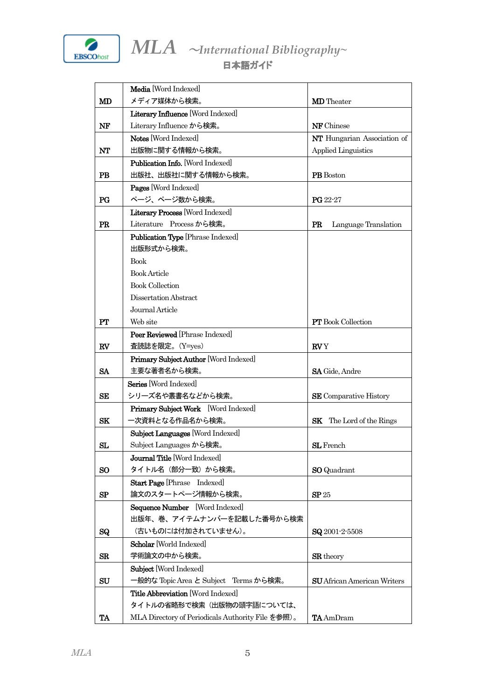

|                | Media [Word Indexed]                              |                                    |
|----------------|---------------------------------------------------|------------------------------------|
| MD             | メディア媒体から検索。                                       | <b>MD</b> Theater                  |
|                | Literary Influence [Word Indexed]                 |                                    |
| $N_{\rm F}$    | Literary Influence から検索。                          | <b>NF</b> Chinese                  |
|                | Notes Word Indexed                                | NT Hungarian Association of        |
| NT             | 出版物に関する情報から検索。                                    | <b>Applied Linguistics</b>         |
|                | Publication Info. [Word Indexed]                  |                                    |
| <b>PB</b>      | 出版社、出版社に関する情報から検索。                                | PB Boston                          |
|                | Pages [Word Indexed]                              |                                    |
| $_{\rm PG}$    | ページ、ページ数から検索。                                     | $PG 22-27$                         |
|                | Literary Process [Word Indexed]                   |                                    |
| PR             | Literature Process から検索。                          | <b>PR</b><br>Language Translation  |
|                | Publication Type [Phrase Indexed]                 |                                    |
|                | 出版形式から検索。                                         |                                    |
|                | <b>Book</b>                                       |                                    |
|                | <b>Book Article</b>                               |                                    |
|                | <b>Book Collection</b>                            |                                    |
|                | Dissertation Abstract                             |                                    |
|                | Journal Article                                   |                                    |
| PT             | Web site                                          | <b>PT</b> Book Collection          |
|                | Peer Reviewed [Phrase Indexed]                    |                                    |
| RV             | 査読誌を限定。(Y=yes)                                    | <b>RV</b> Y                        |
|                | Primary Subject Author [Word Indexed]             |                                    |
| <b>SA</b>      | 主要な著者名から検索。                                       | <b>SA</b> Gide, Andre              |
|                | Series [Word Indexed]                             |                                    |
| <b>SE</b>      | シリーズ名や叢書名などから検索。                                  | <b>SE</b> Comparative History      |
|                | Primary Subject Work [Word Indexed]               |                                    |
| <b>SK</b>      | 一次資料となる作品名から検索。                                   | <b>SK</b><br>The Lord of the Rings |
|                | Subject Languages [Word Indexed]                  |                                    |
| SL             | Subject Languages から検索。                           | <b>SL</b> French                   |
|                | Journal Title [Word Indexed]                      |                                    |
| S <sub>O</sub> | タイトル名(部分一致)から検索。                                  | <b>SO</b> Quadrant                 |
|                | <b>Start Page [Phrase</b> Indexed]                |                                    |
| SP             | 論文のスタートページ情報から検索。                                 | SP <sub>25</sub>                   |
|                | Sequence Number [Word Indexed]                    |                                    |
|                | 出版年、巻、アイテムナンバーを記載した番号から検索                         |                                    |
| <b>SQ</b>      | (古いものには付加されていません)。                                | $SQ$ 2001-2-5508                   |
|                | Scholar World Indexed                             |                                    |
| $_{\rm SR}$    | 学術論文の中から検索。                                       | <b>SR</b> theory                   |
|                | Subject [Word Indexed]                            |                                    |
| SU             | 一般的な Topic Area と Subject Terms から検索。             | <b>SU</b> African American Writers |
|                | <b>Title Abbreviation</b> [Word Indexed]          |                                    |
|                | タイトルの省略形で検索(出版物の頭字語については、                         |                                    |
| TA             | MLA Directory of Periodicals Authority File を参照)。 | <b>TA</b> AmDram                   |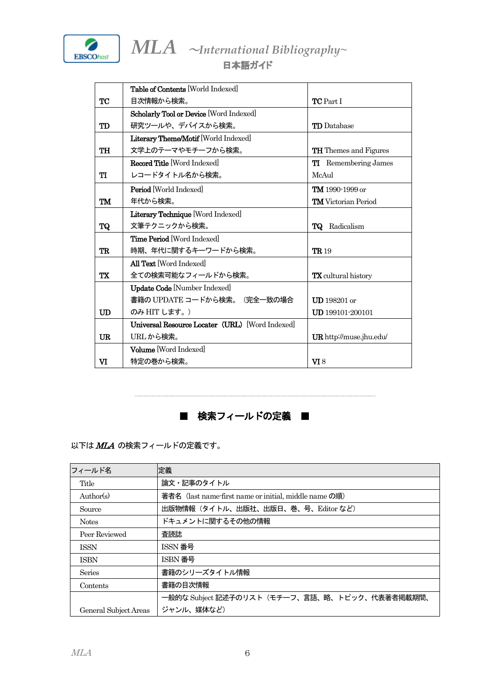

|                 | <b>Table of Contents World Indexedl</b>       |                                |
|-----------------|-----------------------------------------------|--------------------------------|
|                 |                                               |                                |
| TC              | 目次情報から検索。                                     | <b>TC</b> Part I               |
|                 | Scholarly Tool or Device [Word Indexed]       |                                |
| TD              | 研究ツールや、デバイスから検索。                              | <b>TD</b> Database             |
|                 | <b>Literary Theme/Motif</b> [World Indexed]   |                                |
| TH              | 文学上のテーマやモチーフから検索。                             | <b>TH</b> Themes and Figures   |
|                 | <b>Record Title Word Indexedl</b>             | <b>TI</b> Remembering James    |
| TI              | レコードタイトル名から検索。                                | McAul                          |
|                 | <b>Period</b> World Indexedl                  | TM 1990-1999 or                |
| TM              | 年代から検索。                                       | <b>TM</b> Victorian Period     |
|                 | Literary Technique [Word Indexed]             |                                |
| <b>TQ</b>       | 文筆テクニックから検索。                                  | <b>TQ</b> Radicalism           |
|                 | <b>Time Period</b> Word Indexed               |                                |
| TR              | 時期、年代に関するキーワードから検索。                           | <b>TR</b> 19                   |
|                 | <b>All Text</b> Word Indexed                  |                                |
| TX              | 全ての検索可能なフィールドから検索。                            | <b>TX</b> cultural history     |
|                 | <b>Update Code</b> [Number Indexed]           |                                |
|                 | 書籍の UPDATE コードから検索。(完全一致の場合                   | $UD$ 198201 or                 |
| $\overline{UD}$ | のみ HIT します。)                                  | <b>UD</b> 199101-200101        |
|                 | Universal Resource Locater (URL) Word Indexed |                                |
| <b>UR</b>       | URL から検索。                                     | <b>UR</b> http://muse.jhu.edu/ |
|                 | <b>Volume</b> Word Indexedl                   |                                |
| VI              | 特定の巻から検索。                                     | $\Pi$ 8                        |



以下は MLA の検索フィールドの定義です。

| フィールド名                | 定義                                                    |
|-----------------------|-------------------------------------------------------|
| Title                 | 論文・記事のタイトル                                            |
| Author(s)             | 著者名 (last name-first name or initial, middle name の順) |
| Source                | 出版物情報(タイトル、出版社、出版日、巻、号、Editor など)                     |
| <b>Notes</b>          | ドキュメントに関するその他の情報                                      |
| Peer Reviewed         | 査読誌                                                   |
| <b>ISSN</b>           | ISSN 番号                                               |
| <b>ISBN</b>           | ISBN 番号                                               |
| Series                | 書籍のシリーズタイトル情報                                         |
| Contents              | 書籍の目次情報                                               |
|                       | 一般的な Subject 記述子のリスト(モチーフ、言語、略、トピック、代表著者掲載期間、         |
| General Subject Areas | ジャンル、媒体など)                                            |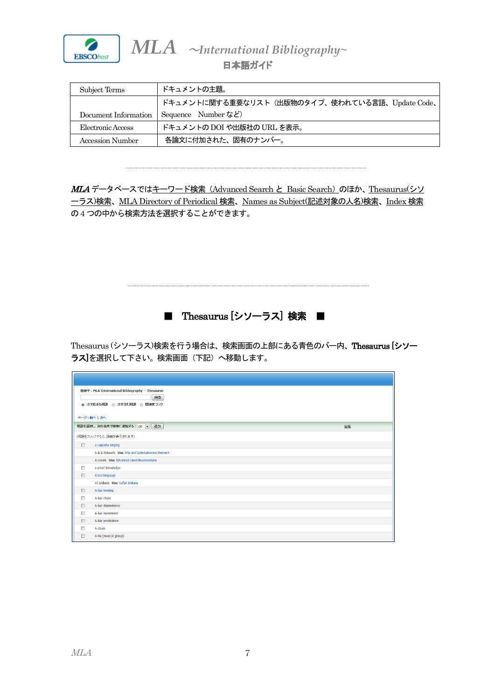

## 日本語ガイド

| Subject Terms        | ドキュメントの主題。                                     |
|----------------------|------------------------------------------------|
|                      | ドキュメントに関する重要なリスト(出版物のタイプ、使われている言語、Update Code、 |
| Document Information | Sequence Number $\ddot{\mathcal{L}}$           |
| Electronic Access    | ドキュメントの DOI や出版社の URL を表示。                     |
| Accession Number     | 各論文に付加された、固有のナンバー。                             |

MLA データベースではキーワード検索 (Advanced Search と Basic Search) のほか、Thesaurus(シソ ーラス)検索、MLA Directory of Periodical 検索、Names as Subject(記述対象の人名)検索、Index 検索 の4 つの中から検索方法を選択することができます。

■ Thesaurus [シソーラス] 検索

Thesaurus (シソーラス)検索を行う場合は、検索画面の上部にある青色のバー内、Thesaurus [シソー ラス】を選択して下さい。検索画面(下記)へ移動します。

| 検索中: MLA International Bibliography -- Thesaurus<br>検索<br>◎ 次で始まる用語 ◎ 次を含む用語 ◎ 関連度ランク<br>ページ:前へ   次へ |                                                  |    |
|------------------------------------------------------------------------------------------------------|--------------------------------------------------|----|
|                                                                                                      | 用語を選択し、次の条件で検索に追加する: OR v 迫加                     | 拡張 |
|                                                                                                      | (用語をクリックすると、詳細が表示されます)                           |    |
| $\Box$                                                                                               | a cappella singing                               |    |
|                                                                                                      | A & E Network Use Arts and Entertainment Network |    |
|                                                                                                      | A Levels Use Advanced Level Examinations         |    |
| E                                                                                                    | a priori knowledge                               |    |
| $\Box$                                                                                               | A'ara language                                   |    |
|                                                                                                      | A'i Indians Use Cofan Indians                    |    |
| $\qquad \qquad \Box$                                                                                 | A-bar binding                                    |    |
| $\Box$                                                                                               | A-bar chain                                      |    |
| 回                                                                                                    | A-bar dependency                                 |    |
| $\Box$                                                                                               | A-bar movement                                   |    |
| $\Box$                                                                                               | A-bar predication                                |    |
| F                                                                                                    | A-chain                                          |    |
| $\Box$                                                                                               | A-ha (musical group)                             |    |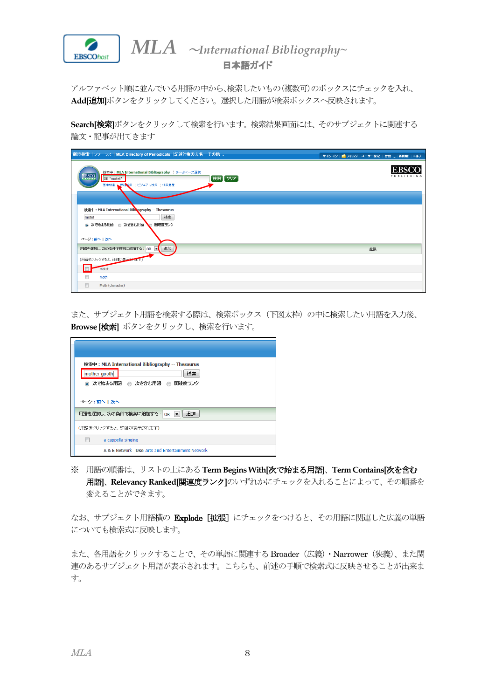

アルファベット順に並んでいる用語の中から、検索したいもの(複数可)のボックスにチェックを入れ、 **Add[**追加**]**ボタンをクリックしてください。選択した用語が検索ボックスへ反映されます。

**Search[**検索**]**ボタンをクリックして検索を行います。検索結果画面には、そのサブジェクトに関連する 論文・記事が出てきます

| 新規検索  シソーラス   MLA Directory of Periodicals   記述対象の人名   その他 v                                                              |    | サインイン   ■ フォルタ   ユーザー設定   言語 、   新機能!   ヘルプ |
|---------------------------------------------------------------------------------------------------------------------------|----|---------------------------------------------|
| 検索中: MLA International Bibliography データペース選択<br><b>EBSCO</b><br> 検索   クリア  <br>DE "motet"<br>基本検索   詳細検索   ビジュアル検索   検索扇歴 |    | <b>EBSC</b><br>PUBLISHING                   |
| 検索中: MLA International Biblography -- Thesaurus<br>検索<br>motet                                                            |    |                                             |
| 関連度ランク<br>◎ 次で始まる用語 ◎ 次を含む用語<br>ページ:前へ   次へ                                                                               |    |                                             |
| 追加<br>用語を選択し、次の条件で検索に追加する: OR                                                                                             | 拡張 |                                             |
| (用語をクリックすると、詳細が表示されます)<br>motet                                                                                           |    |                                             |
| $\Box$<br>moth                                                                                                            |    |                                             |
| $\Box$<br>Moth (character)                                                                                                |    |                                             |

また、サブジェクト用語を検索する際は、検索ボックス(下図太枠)の中に検索したい用語を入力後、 **Browse [**検索**]** ボタンをクリックし、検索を行います。

| 検索中: MLA International Bibliography -- Thesaurus<br>mother gooth<br>検索<br>◎ 次で始まる用語 ◎ 次を含む用語 ◎<br>関連度ランク |                                                  |
|----------------------------------------------------------------------------------------------------------|--------------------------------------------------|
| ページ:前へ 次へ                                                                                                |                                                  |
|                                                                                                          | 用語を選択し、次の条件で検索に追加する: OR マ 追加                     |
|                                                                                                          | (用語をクリックすると、詳細が表示されます)                           |
| $\blacksquare$                                                                                           | a cappella singing                               |
|                                                                                                          | A & E Network Use Arts and Entertainment Network |

※ 用語の順番は、リストの上にある**Term Begins With[**次で始まる用語**]**、**Term Contains[**次を含む 用語**]**、**Relevancy Ranked[**関連度ランク**]**のいずれかにチェックを入れることによって、その順番を 変えることができます。

なお、サブジェクト用語横の Explode [拡張] にチェックをつけると、その用語に関連した広義の単語 についても検索式に反映します。

また、各用語をクリックすることで、その単語に関連する Broader (広義) · Narrower (狭義)、また関 連のあるサブジェクト用語が表示されます。こちらも、前述の手順で検索式に反映させることが出来ま す。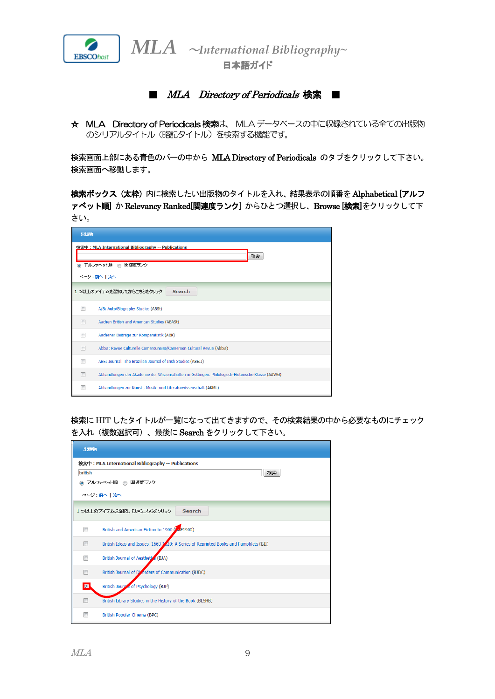

日本語ガイド

■ *MLA Directory of Periodicals* 検索 ■

☆ MLA Directory of Periodicals 検索は、 MLA データベースの中に収録されている全ての出版物 のシリアルタイトル(略記タイトル)を検索する機能です。

検索画面上部にある青色のバーの中から MLA Directory of Periodicals のタブをクリックして下さい。 検索画面へ移動します。

検索ボックス(太枠)内に検索したい出版物のタイトルを入れ、結果表示の順番を Alphabetical [アルフ ァベット順] かRelevancy Ranked[関連度ランク] からひとつ選択し、Browse [検索]をクリックして下 さい。

| 出版物                                                                                          |                                                                                                   |  |
|----------------------------------------------------------------------------------------------|---------------------------------------------------------------------------------------------------|--|
| 検索中: MLA International Bibliography -- Publications<br>検索<br>アルファベット順<br>関連度ランク<br>ページ:前へ上次へ |                                                                                                   |  |
|                                                                                              | 1つ以上のアイテムを選択してからこちらをクリック<br><b>Search</b>                                                         |  |
|                                                                                              | A/B: Auto/Biography Studies (ABSt)                                                                |  |
|                                                                                              | Aachen British and American Studies (ABASt)                                                       |  |
|                                                                                              | Aachener Beiträge zur Komparatistik (ABK)                                                         |  |
|                                                                                              | Abbia: Revue Culturelle Camerounaise/Cameroon Cultural Revue (Abbia)                              |  |
|                                                                                              | ABEI Journal: The Brazilian Journal of Irish Studies (ABEIJ)                                      |  |
|                                                                                              | Abhandlungen der Akademie der Wissenschaften in Göttingen: Philologisch-Historische Klasse (AAWG) |  |
|                                                                                              | Abhandlungen zur Kunst-, Musik- und Literaturwissenschaft (AKML)                                  |  |

検索にHIT したタイトルが一覧になって出てきますので、その検索結果の中から必要なものにチェック を入れ(複数選択可)、最後にSearch をクリックして下さい。

| 出版物                                                 |                                                                                      |  |  |  |  |  |
|-----------------------------------------------------|--------------------------------------------------------------------------------------|--|--|--|--|--|
| 検索中: MLA International Bibliography -- Publications |                                                                                      |  |  |  |  |  |
| 検索<br><b>british</b>                                |                                                                                      |  |  |  |  |  |
| ◎ アルファベット順 ◎ 関連度ランク                                 |                                                                                      |  |  |  |  |  |
| ページ:前へ上次へ                                           |                                                                                      |  |  |  |  |  |
| 1つ以上のアイテムを選択してからこちらをクリック<br><b>Search</b>           |                                                                                      |  |  |  |  |  |
| m                                                   | British and American Fiction to 1900 (PAF1900)                                       |  |  |  |  |  |
| F                                                   | British Ideas and Issues, 1660-1220: A Series of Reprinted Books and Pamphlets (BII) |  |  |  |  |  |
| $\blacksquare$                                      | British Journal of Aesthetics (BJA)                                                  |  |  |  |  |  |
|                                                     | British Journal of Disorders of Communication (BJDC)                                 |  |  |  |  |  |
| $\blacksquare$                                      | British Journal of Psychology (BJP)                                                  |  |  |  |  |  |
| $\Box$                                              | British Library Studies in the History of the Book (BLSHB)                           |  |  |  |  |  |
| П                                                   | British Popular Cinema (BPC)                                                         |  |  |  |  |  |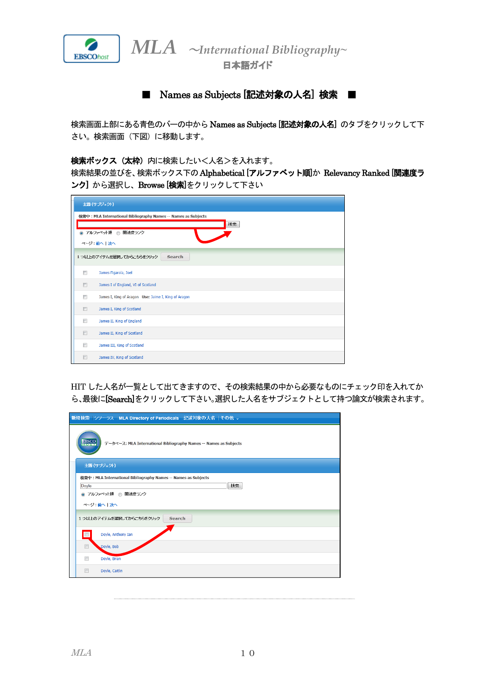

日本語ガイド

■ Names as Subjects [記述対象の人名]検索

検索画面上部にある青色のバーの中から Names as Subjects [記述対象の人名]のタブをクリックして下 さい。検索画面(下図)に移動します。

検索ボックス(太枠)内に検索したいく人名>を入れます。

検索結果の並びを、検索ボックス下のAlphabetical [アルファベット順]か Relevancy Ranked [関連度ラ ンク] から選択し、Browse [検索]をクリックして下さい

| 主題 (サブジェクト)                                                    |  |  |  |  |  |
|----------------------------------------------------------------|--|--|--|--|--|
| 検索中: MLA International Bibliography Names -- Names as Subjects |  |  |  |  |  |
| 検索                                                             |  |  |  |  |  |
| ◎ アルファベット順 ◎ 関連度ランク                                            |  |  |  |  |  |
| ページ:前へ上次へ                                                      |  |  |  |  |  |
| 1つ以上のアイテムを選択してからこちらをクリック<br>Search                             |  |  |  |  |  |
| n<br>James Figarola, Joel                                      |  |  |  |  |  |
| $\Box$<br>James I of England, VI of Scotland                   |  |  |  |  |  |
| П<br>James I, King of Aragon Use: Jaime I, King of Aragon      |  |  |  |  |  |
| $\Box$<br>James I, King of Scotland                            |  |  |  |  |  |
| $\Box$<br>James II, King of England                            |  |  |  |  |  |
| $\Box$<br>James II, King of Scotland                           |  |  |  |  |  |
| James III, King of Scotland<br>n                               |  |  |  |  |  |
| $\Box$<br>James IV, King of Scotland                           |  |  |  |  |  |

HIT した人名が一覧として出てきますので、その検索結果の中から必要なものにチェック印を入れてか ら、最後に[Search]をクリックして下さい。選択した人名をサブジェクトとして持つ論文が検索されます。

| 新規検索  シソーラス   MLA Directory of Periodicals  記述対象の人名   その他 v                                          |  |  |  |  |  |
|------------------------------------------------------------------------------------------------------|--|--|--|--|--|
| <b>EBSCO</b><br>データベース: MLA International Bibliography Names -- Names as Subjects                    |  |  |  |  |  |
| 主題 (サブジェクト)                                                                                          |  |  |  |  |  |
| 検索中: MLA International Bibliography Names -- Names as Subjects<br>検索<br>Doyle<br>◎ アルファベット順 ◎ 関連度ランク |  |  |  |  |  |
| ページ:前へ上次へ                                                                                            |  |  |  |  |  |
| 1つ以上のアイテムを選択してからこちらをクリック<br>Search                                                                   |  |  |  |  |  |
| $\Box$<br>Doyle, Anthony Ian                                                                         |  |  |  |  |  |
| $\Box$<br>Doyle, Bob                                                                                 |  |  |  |  |  |
| $\blacksquare$<br>Doyle, Brian                                                                       |  |  |  |  |  |
| $\Box$<br>Doyle, Caitlin                                                                             |  |  |  |  |  |
|                                                                                                      |  |  |  |  |  |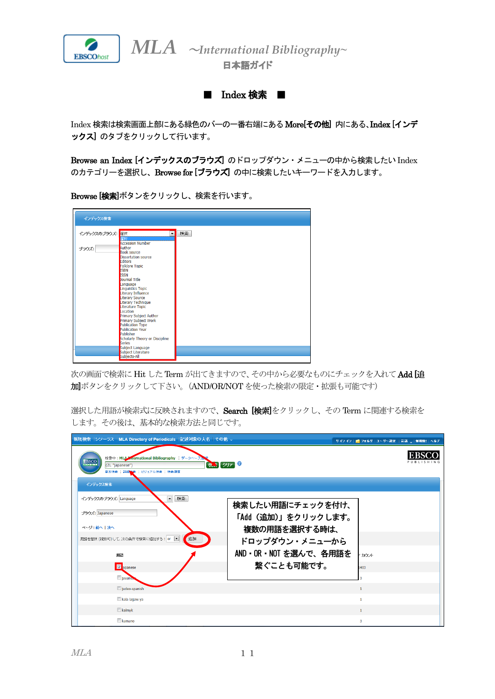

日本語ガイド

■ Index 検索 ■

Index 検索は検索画面上部にある緑色のバーの一番右端にある More[その他] 内にある、Index [インデ ックス] のタブをクリックして行います。

Browse an Index [インデックスのブラウズ]のドロップダウン・メニューの中から検索したい Index のカテゴリーを選択し、Browse for [ブラウズ] の中に検索したいキーワードを入力します。

Browse [検索]ボタンをクリックし、検索を行います。

| インデックス検索        |                                        |    |
|-----------------|----------------------------------------|----|
|                 |                                        |    |
|                 |                                        |    |
| インデックスのブラウズ: 選択 | $\overline{\phantom{a}}$               | 検索 |
|                 | <b>强排</b><br><b>Accession Number</b>   |    |
| ブラウズ:           | Author                                 |    |
|                 | <b>Book source</b>                     |    |
|                 | <b>Dissertation source</b>             |    |
|                 | Editors                                |    |
|                 | Folklore Topic                         |    |
|                 | <b>ISBN</b><br><b>ISSN</b>             |    |
|                 | Journal Title                          |    |
|                 | Language                               |    |
|                 | Linguistics Topic                      |    |
|                 | Literary Influence                     |    |
|                 | Literary Source                        |    |
|                 | Literary Technique<br>Literature Topic |    |
|                 | Location                               |    |
|                 | Primary Subject Author                 |    |
|                 | Primary Subject Work                   |    |
|                 | <b>Publication Type</b>                |    |
|                 | <b>Publication Year</b><br>Publisher   |    |
|                 | Scholarly Theory or Discipline         |    |
|                 | <b>Series</b>                          |    |
|                 | Subject Language                       |    |
|                 | Subject Literature                     |    |
|                 | Subjects-All                           |    |

次の画面で検索に Hit した Term が出てきますので、その中から必要なものにチェックを入れて Add [追 加]ボタンをクリックして下さい。(AND/OR/NOT を使った検索の限定・拡張も可能です)

選択した用語が検索式に反映されますので、Search [検索]をクリックし、その Term に関連する検索を します。その後は、基本的な検索方法と同じです。

| 新規検索  シソーラス   MLA Directory of Periodicals  記述対象の人名   その他 v                                                         |                                                          |  | サインイン  ■ フォルダ   ユーザー設定   言語 、  新微能!   ヘルプ |  |  |  |  |  |
|---------------------------------------------------------------------------------------------------------------------|----------------------------------------------------------|--|-------------------------------------------|--|--|--|--|--|
| 検索中: MLA Mernational Bibliography データベース<br><b>EBSCO</b><br>枕、クリア<br>(ZL "japanese")<br>基本検索  詳細協奏   ビジュアル検索   検索履歴 |                                                          |  |                                           |  |  |  |  |  |
| インデックス検索                                                                                                            |                                                          |  |                                           |  |  |  |  |  |
| ■ 検索<br>インデックスのブラウズ: Language<br>ブラウズ: Japanese<br>ページ:前へ上次へ                                                        | 検索したい用語にチェックを付け、<br>「Add (追加)」をクリックします。<br>複数の用語を選択する時は、 |  |                                           |  |  |  |  |  |
| 用語を選択 (複数可)して、次の条件で検索に追加する: or ■<br>追加                                                                              | ドロップダウン・メニューから                                           |  |                                           |  |  |  |  |  |
| 用語                                                                                                                  | AND · OR · NOT を選んで、各用語を                                 |  | ミカウント                                     |  |  |  |  |  |
| <b>V</b> apanese                                                                                                    | 繋ぐことも可能です。                                               |  | 1403                                      |  |  |  |  |  |
| javane.                                                                                                             |                                                          |  |                                           |  |  |  |  |  |
| judeo-spanish                                                                                                       |                                                          |  | $\mathbf{1}$                              |  |  |  |  |  |
| kala lagaw ya                                                                                                       |                                                          |  | 1                                         |  |  |  |  |  |
| $R$ kalmyk                                                                                                          |                                                          |  | $\mathbf{1}$                              |  |  |  |  |  |
| kamano                                                                                                              |                                                          |  | 3                                         |  |  |  |  |  |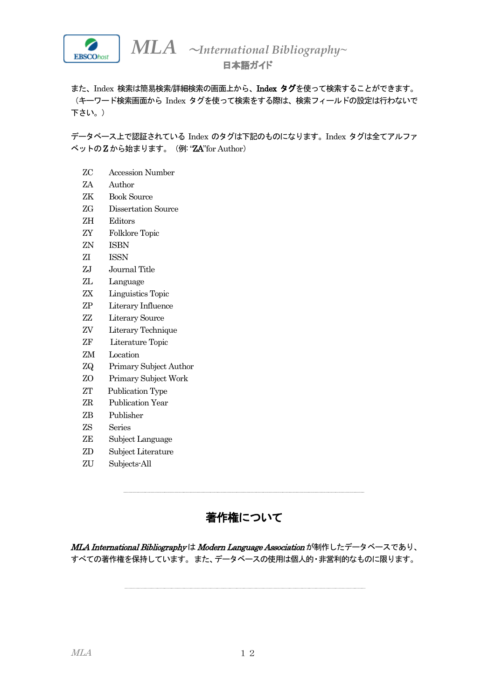

また、Index 検索は簡易検索/詳細検索の画面上から、Index タグを使って検索することができます。 (キーワード検索画面から Index タグを使って検索をする際は、検索フィールドの設定は行わないで 下さい。)

データベース上で認証されている Index のタグは下記のものになります。Index タグは全てアルファ ベットのZ から始まります。(例: "ZA"for Author)

- ZC Accession Number
- ZA Author
- ZK Book Source
- ZG Dissertation Source
- ZH Editors
- ZY Folklore Topic
- ZN ISBN
- ZI ISSN
- ZJ Journal Title
- ZL Language
- ZX Linguistics Topic
- ZP Literary Influence
- ZZ Literary Source
- ZV Literary Technique
- ZF Literature Topic
- ZM Location
- ZQ Primary Subject Author
- ZO Primary Subject Work
- ZT Publication Type
- ZR Publication Year
- ZB Publisher
- ZS Series
- ZE Subject Language
- ZD Subject Literature
- ZU Subjects-All

## 著作権について

MLA International Bibliography は Modern Language Association が制作したデータベースであり、 すべての著作権を保持しています。また、データベースの使用は個人的・非営利的なものに限ります。